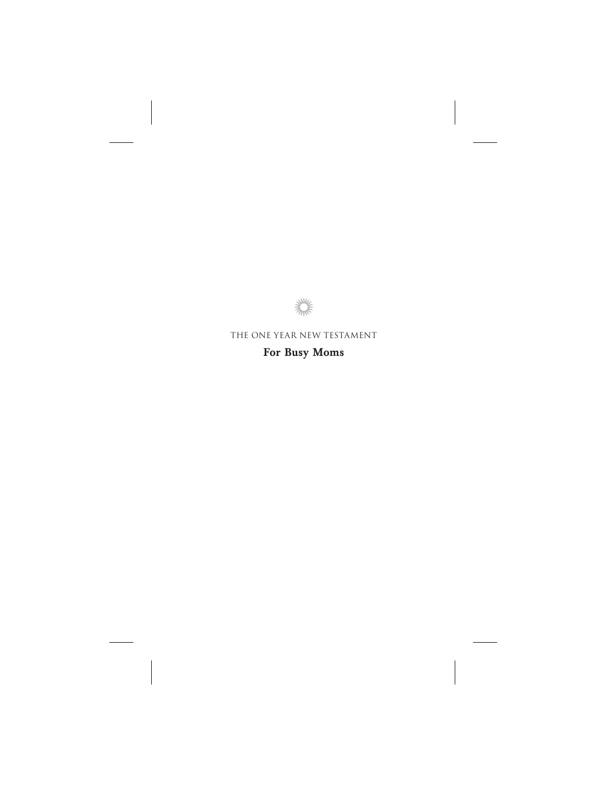

## The One Year New Testament **For Busy Moms**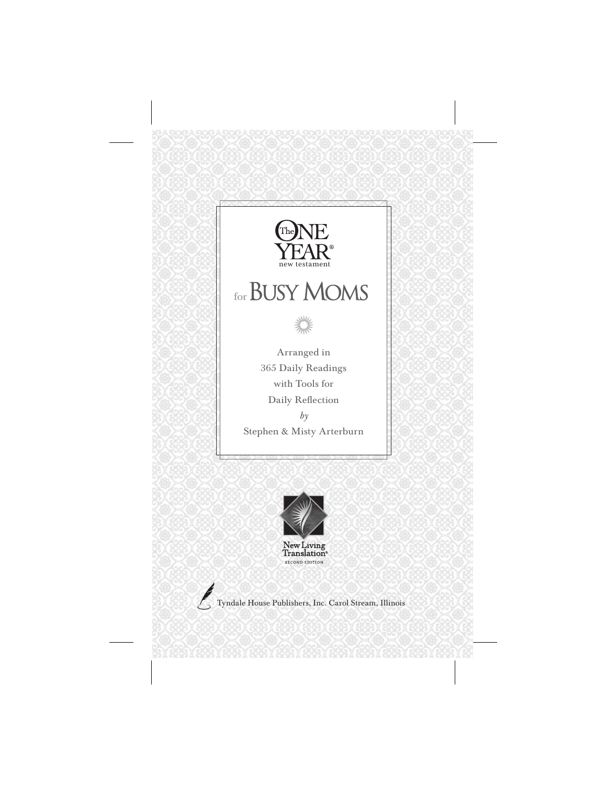



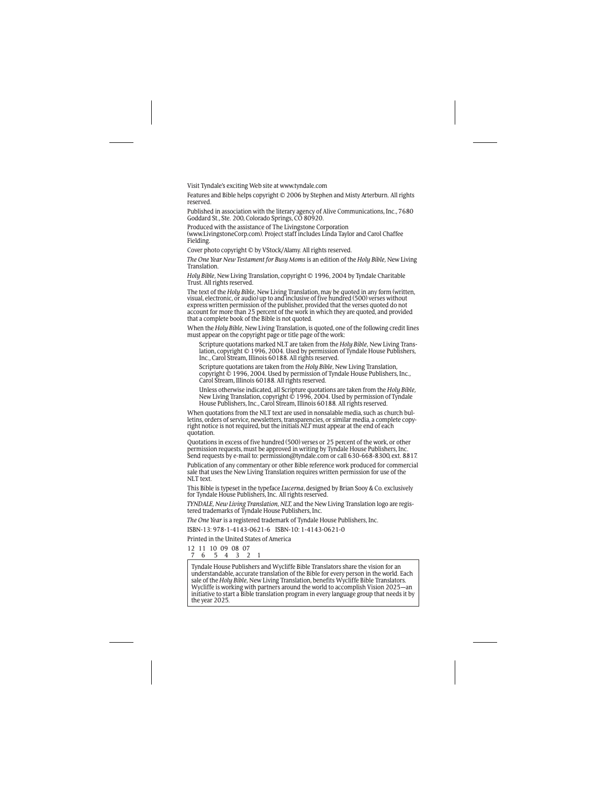Visit Tyndale's exciting Web site at www.tyndale.com

Features and Bible helps copyright © 2006 by Stephen and Misty Arterburn. All rights reserved.

Published in association with the literary agency of Alive Communications, Inc., 7680 Goddard St., Ste. 200, Colorado Springs, CO 80920.

Produced with the assistance of The Livingstone Corporation (www.LivingstoneCorp.com). Project staff includes Linda Taylor and Carol Chaffee Fielding.

Cover photo copyright © by VStock/Alamy. All rights reserved.

*The One Year New Testament for Busy Moms* is an edition of the *Holy Bible,* New Living Translation.

*Holy Bible,* New Living Translation, copyright © 1996, 2004 by Tyndale Charitable Trust. All rights reserved.

The text of the *Holy Bible,* New Living Translation, may be quoted in any form (written, visual, electronic, or audio) up to and inclusive of five hundred (500) verses without express written permission of the publisher, provided that the verses quoted do not account for more than 25 percent of the work in which they are quoted, and provided that a complete book of the Bible is not quoted.

When the *Holy Bible,* New Living Translation, is quoted, one of the following credit lines must appear on the copyright page or title page of the work:

Scripture quotations marked NLT are taken from the *Holy Bible,* New Living Translation, copyright © 1996, 2004. Used by permission ofTyndale House Publishers, Inc., Carol Stream, Illinois 60188. All rights reserved.

Scripture quotations are taken from the *Holy Bible,* New Living Translation, copyright *©* 1996, 2004. Used by permission of Tyndale House Publishers, Inc., Carol Stream, Illinois 60188. All rights reserved.

Unless otherwise indicated, all Scripture quotations are taken from the *Holy Bible,* New Living Translation, copyright  $\dot{\circ}$  1996, 2004. Used by permission of Tyndale House Publishers, Inc., Carol Stream, Illinois 60188. All rights reserved.

When quotations from the NLT text are used in nonsalable media, such as church bulletins, orders of service, newsletters, transparencies, or similar media, a complete copyright notice is not required, but the initials *NLT* must appear at the end of each quotation.

Quotations in excess of five hundred (500) verses or 25 percent of the work, or other permission requests, must be approved in writing by Tyndale House Publishers, Inc. Send requests by e-mail to: permission@tyndale.com or call 630-668-8300, ext. 8817.

Publication of any commentary or other Bible reference work produced for commercial sale that uses the New Living Translation requires written permission for use of the NLT text.

This Bible is typeset in the typeface *Lucerna*, designed by Brian Sooy & Co. exclusively for Tyndale House Publishers, Inc. All rights reserved.

*TYNDALE, New Living Translation, NLT,* and the New Living Translation logo are registered trademarks of Tyndale House Publishers, Inc.

*The One Year* is a registered trademark of Tyndale House Publishers, Inc.

ISBN-13: 978-1-4143-0621-6 ISBN-10: 1-4143-0621-0

Printed in the United States of America

12 11 10 09 08 07 4 3 2 1

Tyndale House Publishers and Wycliffe Bible Translators share the vision for an understandable, accurate translation of the Bible for every person in the world. Each sale of the *Holy Bible,* New Living Translation, benefits Wycliffe Bible Translators. Wycliffe is working with partners around the world to accomplish Vision 2025—an initiative to start a Bible translation program in every language group that needs it by the year 2025.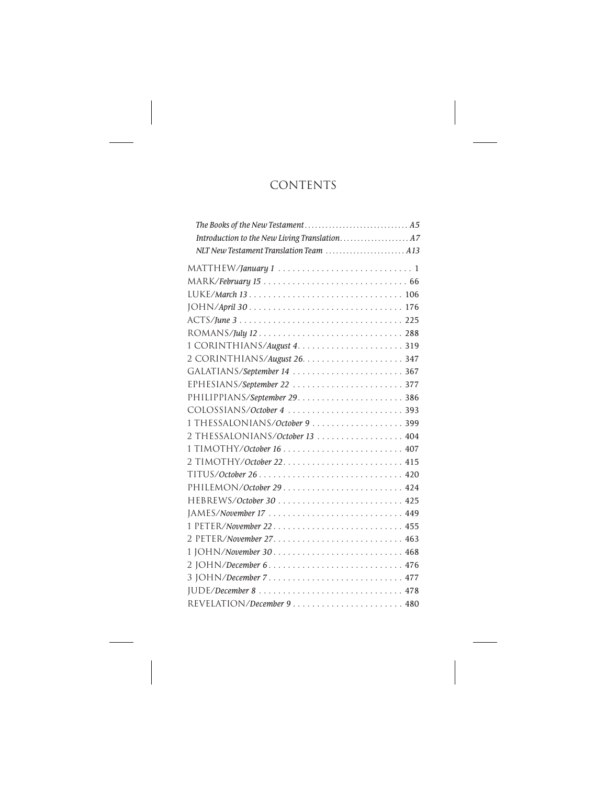## **CONTENTS**

| NLT New Testament Translation Team  A13 |  |
|-----------------------------------------|--|
|                                         |  |
|                                         |  |
|                                         |  |
|                                         |  |
|                                         |  |
|                                         |  |
|                                         |  |
|                                         |  |
| GALATIANS/September 14  367             |  |
| EPHESIANS/September 22 377              |  |
|                                         |  |
| COLOSSIANS/October 4  393               |  |
|                                         |  |
| 2 THESSALONIANS/October 13 404          |  |
|                                         |  |
|                                         |  |
|                                         |  |
|                                         |  |
|                                         |  |
|                                         |  |
| 1 PETER/November 22 455                 |  |
|                                         |  |
| 1 JOHN/November 30 468                  |  |
| 2 JOHN/December 6 476                   |  |
|                                         |  |
|                                         |  |
|                                         |  |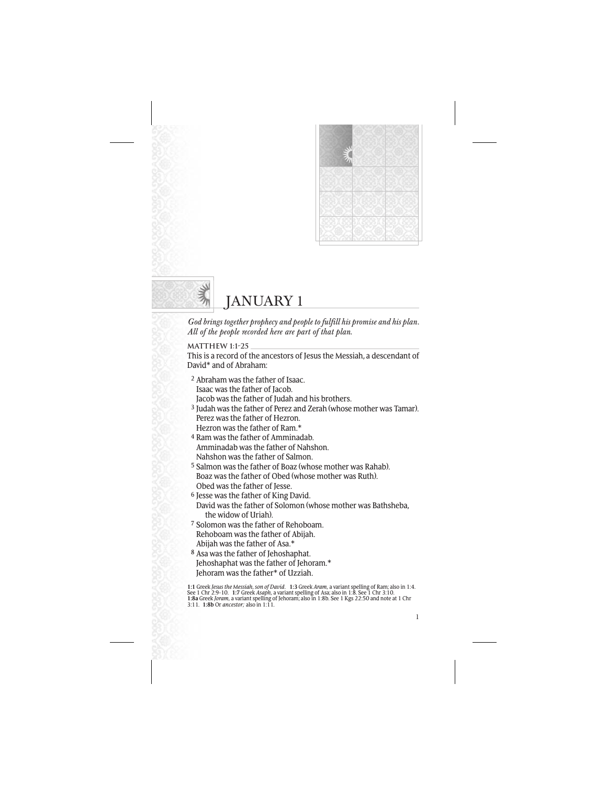



# JANUARY 1

*God brings together prophecy and people to fulfill his promise and his plan. All of the people recorded here are part of that plan.*

**MATTHEW 1:1-25**

This is a record of the ancestors of Jesus the Messiah, a descendant of David\* and of Abraham:

2 Abraham was the father of Isaac. Isaac was the father of Jacob. Jacob was the father of Judah and his brothers. 3 Judah was the father of Perez and Zerah (whose mother was Tamar). Perez was the father of Hezron. Hezron was the father of Ram.\* 4 Ram was the father of Amminadab. Amminadab was the father of Nahshon. Nahshon was the father of Salmon. 5 Salmon was the father of Boaz (whose mother was Rahab). Boaz was the father of Obed (whose mother was Ruth). Obed was the father of Jesse. 6 Jesse was the father of King David. David was the father of Solomon (whose mother was Bathsheba, the widow of Uriah). 7 Solomon was the father of Rehoboam. Rehoboam was the father of Abijah. Abijah was the father of Asa.\* 8 Asa was the father of Jehoshaphat. Jehoshaphat was the father of Jehoram.\* Jehoram was the father\* of Uzziah.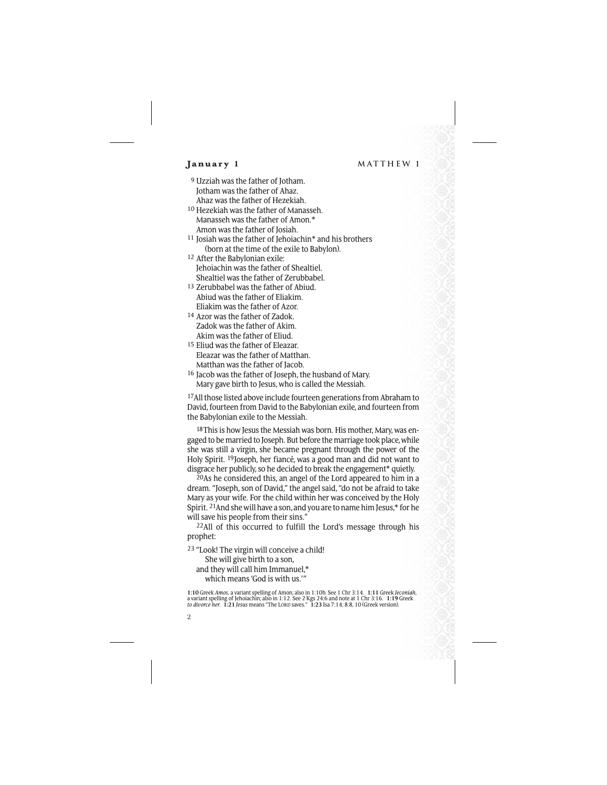- 9 Uzziah was the father of Jotham. Jotham was the father of Ahaz. Ahaz was the father of Hezekiah.
- 10 Hezekiah was the father of Manasseh. Manasseh was the father of Amon.\* Amon was the father of Josiah.
- 11 Josiah was the father of Jehoiachin\* and his brothers (born at the time of the exile to Babylon).
- 12 After the Babylonian exile: Jehoiachin was the father of Shealtiel. Shealtiel was the father of Zerubbabel.
- 13 Zerubbabel was the father of Abiud. Abiud was the father of Eliakim. Eliakim was the father of Azor.
- 14 Azor was the father of Zadok. Zadok was the father of Akim. Akim was the father of Eliud.
- 15 Eliud was the father of Eleazar. Eleazar was the father of Matthan. Matthan was the father of Jacob.
- 16 Jacob was the father of Joseph, the husband of Mary. Mary gave birth to Jesus, who is called the Messiah.

17All those listed above include fourteen generations from Abraham to David, fourteen from David to the Babylonian exile, and fourteen from the Babylonian exile to the Messiah.

18This is how Jesus the Messiah was born. His mother, Mary, was engaged to be married to Joseph. But before the marriage took place, while she was still a virgin, she became pregnant through the power of the Holy Spirit. 19Joseph, her fiancé, was a good man and did not want to disgrace her publicly, so he decided to break the engagement\* quietly.

20As he considered this, an angel of the Lord appeared to him in a dream. "Joseph, son of David," the angel said, "do not be afraid to take Mary as your wife. For the child within her was conceived by the Holy Spirit. 21And she will have a son, and you are to name him Jesus,\* for he will save his people from their sins."

22All of this occurred to fulfill the Lord's message through his prophet:

23 "Look! The virgin will conceive a child! She will give birth to a son, and they will call him Immanuel,\* which means 'God is with us.'"

**<sup>1:10</sup>** Greek *Amos,* a variant spelling of Amon; also in 1:10b. See 1 Chr 3:14. **1:11** Greek *Jeconiah,* a variant spelling of Jehoiachin; also in 1:12. See 2 Kgs 24:6 and note at 1 Chr 3:16. **1:19** Greek *to divorce her.* **1:21** *Jesus* means "The LORD saves." **1:23** Isa 7:14; 8:8, 10 (Greek version).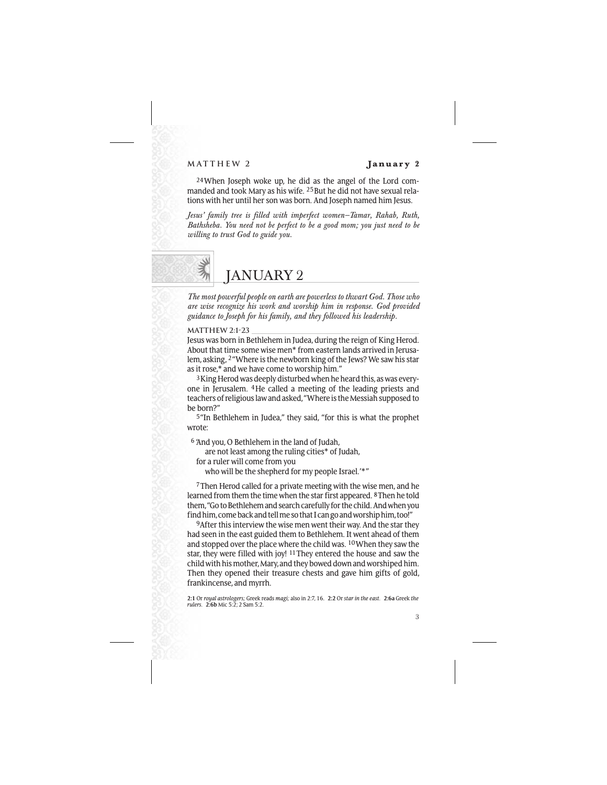### **MATTHEW 2 January 2**

24When Joseph woke up, he did as the angel of the Lord commanded and took Mary as his wife. 25But he did not have sexual relations with her until her son was born. And Joseph named him Jesus.

*Jesus' family tree is filled with imperfect women—Tamar, Rahab, Ruth, Bathsheba. You need not be perfect to be a good mom; you just need to be willing to trust God to guide you.*



*The most powerful people on earth are powerless to thwart God. Those who are wise recognize his work and worship him in response. God provided guidance to Joseph for his family, and they followed his leadership.*

**MATTHEW 2:1-23**

Jesus was born in Bethlehem in Judea, during the reign of King Herod. About that time some wise men\* from eastern lands arrived in Jerusalem, asking, 2"Where is the newborn king of the Jews? We saw his star as it rose,\* and we have come to worship him."

3King Herod was deeply disturbed when he heard this, as was everyone in Jerusalem. 4He called a meeting of the leading priests and teachers of religious law and asked, "Where is the Messiah supposed to be born?"

5"In Bethlehem in Judea," they said, "for this is what the prophet wrote:

6 'And you, O Bethlehem in the land of Judah,

are not least among the ruling cities\* of Judah,

for a ruler will come from you

who will be the shepherd for my people Israel.'\*"

7Then Herod called for a private meeting with the wise men, and he learned from them the time when the star first appeared. 8Then he told them, "Go to Bethlehem and search carefully for the child. And when you find him, come back and tell me so that I can go and worship him, too!"

9After this interview the wise men went their way. And the star they had seen in the east guided them to Bethlehem. It went ahead of them and stopped over the place where the child was. 10When they saw the star, they were filled with joy! 11They entered the house and saw the child with his mother, Mary, and they bowed down and worshiped him. Then they opened their treasure chests and gave him gifts of gold, frankincense, and myrrh.

**2:1** Or *royal astrologers;* Greek reads *magi;* also in 2:7, 16. **2:2** Or *star in the east.* **2:6a** Greek *the rulers.* **2:6b** Mic 5:2; 2 Sam 5:2.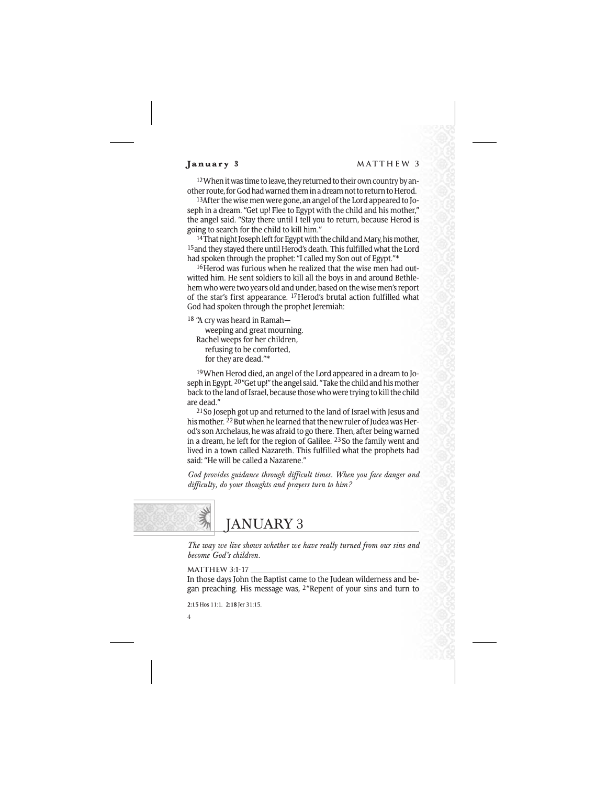12When it was time to leave, they returned to their own country by another route, for God had warned them in a dream not to return to Herod.

13After the wise men were gone, an angel of the Lord appeared to Joseph in a dream. "Get up! Flee to Egypt with the child and his mother," the angel said. "Stay there until I tell you to return, because Herod is going to search for the child to kill him."

<sup>14</sup>That night Joseph left for Egypt with the child and Mary, his mother, 15and they stayed there until Herod's death. This fulfilled what the Lord had spoken through the prophet: "I called my Son out of Egypt."\*

16Herod was furious when he realized that the wise men had outwitted him. He sent soldiers to kill all the boys in and around Bethlehem who were two years old and under, based on the wise men's report of the star's first appearance. 17Herod's brutal action fulfilled what God had spoken through the prophet Jeremiah:

18 "A cry was heard in Ramah weeping and great mourning. Rachel weeps for her children, refusing to be comforted, for they are dead."\*

19When Herod died, an angel of the Lord appeared in a dream to Joseph in Egypt. 20"Get up!" the angel said. "Take the child and his mother back to the land of Israel, because those who were trying to kill the child are dead."

21So Joseph got up and returned to the land of Israel with Jesus and his mother. <sup>22</sup> But when he learned that the new ruler of Judea was Herod's son Archelaus, he was afraid to go there. Then, after being warned in a dream, he left for the region of Galilee. 23So the family went and lived in a town called Nazareth. This fulfilled what the prophets had said: "He will be called a Nazarene."

*God provides guidance through difficult times. When you face danger and difficulty, do your thoughts and prayers turn to him?*



*The way we live shows whether we have really turned from our sins and become God's children.*

```
MATTHEW 3:1-17
```
In those days John the Baptist came to the Judean wilderness and began preaching. His message was, 2"Repent of your sins and turn to

**2:15** Hos 11:1. **2:18** Jer 31:15.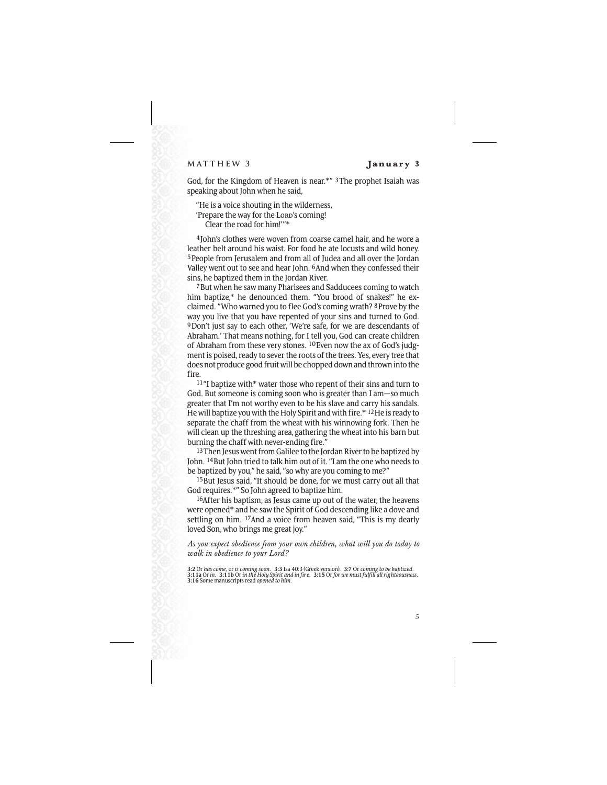### **MATTHEW 3 January 3**

God, for the Kingdom of Heaven is near.\*" 3The prophet Isaiah was speaking about John when he said,

"He is a voice shouting in the wilderness, 'Prepare the way for the Lord's coming! Clear the road for him!'"\*

4John's clothes were woven from coarse camel hair, and he wore a leather belt around his waist. For food he ate locusts and wild honey. 5People from Jerusalem and from all of Judea and all over the Jordan Valley went out to see and hear John. 6And when they confessed their sins, he baptized them in the Jordan River.

7But when he saw many Pharisees and Sadducees coming to watch him baptize,\* he denounced them. "You brood of snakes!" he exclaimed. "Who warned you to flee God's coming wrath? 8Prove by the way you live that you have repented of your sins and turned to God. 9Don't just say to each other, 'We're safe, for we are descendants of Abraham.' That means nothing, for I tell you, God can create children of Abraham from these very stones. 10Even now the ax of God's judgment is poised, ready to sever the roots of the trees. Yes, every tree that does not produce good fruit will be chopped down and thrown into the fire.

11"I baptize with\* water those who repent of their sins and turn to God. But someone is coming soon who is greater than I am—so much greater that I'm not worthy even to be his slave and carry his sandals. He will baptize you with the Holy Spirit and with fire.\* 12He is ready to separate the chaff from the wheat with his winnowing fork. Then he will clean up the threshing area, gathering the wheat into his barn but burning the chaff with never-ending fire."

13 Then Jesus went from Galilee to the Jordan River to be baptized by John. 14But John tried to talk him out of it. "I am the one who needs to be baptized by you," he said, "so why are you coming to me?"

15But Jesus said, "It should be done, for we must carry out all that God requires.\*" So John agreed to baptize him.

16After his baptism, as Jesus came up out of the water, the heavens were opened\* and he saw the Spirit of God descending like a dove and settling on him. <sup>17</sup>And a voice from heaven said, "This is my dearly loved Son, who brings me great joy."

## *As you expect obedience from your own children, what will you do today to walk in obedience to your Lord?*

<sup>3:2</sup> Or has come, or is coming soon. 3:3 Isa 40:3 (Greek version). 3:7 Or coming to be baptized.<br>3:11a Or in. 3:11b Or in the Holy Spirit and in fire. 3:15 Or for we must fulfill all righteousness. **3:16** Some manuscripts read *opened to him.*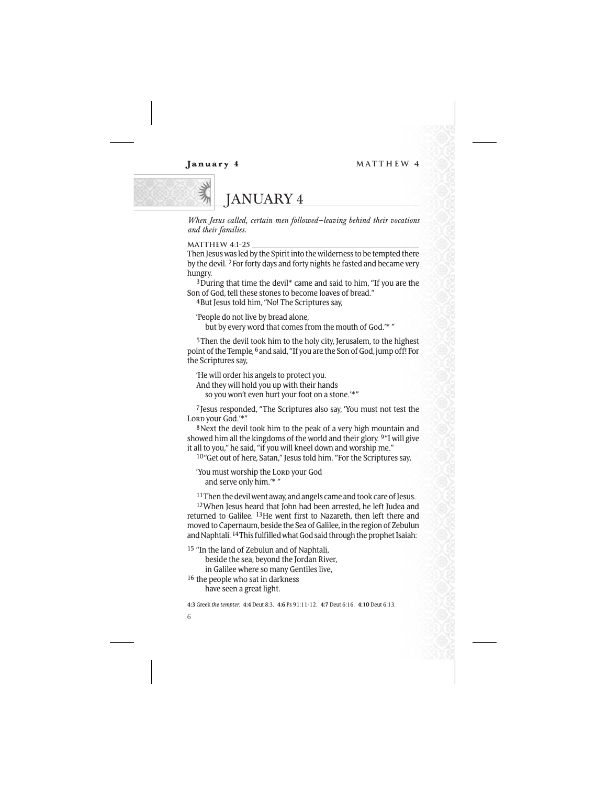

*When Jesus called, certain men followed—leaving behind their vocations and their families.*

**MATTHEW 4:1-25**

Then Jesus was led by the Spirit into the wilderness to be tempted there by the devil. 2For forty days and forty nights he fasted and became very hungry.

3During that time the devil\* came and said to him, "If you are the Son of God, tell these stones to become loaves of bread."

4But Jesus told him, "No! The Scriptures say,

'People do not live by bread alone,

but by every word that comes from the mouth of God.'\* "

5Then the devil took him to the holy city, Jerusalem, to the highest point of the Temple, 6and said, "If you are the Son of God, jump off! For the Scriptures say,

'He will order his angels to protect you. And they will hold you up with their hands so you won't even hurt your foot on a stone.'\*"

7Jesus responded, "The Scriptures also say, 'You must not test the Lord your God.'\*"

8Next the devil took him to the peak of a very high mountain and showed him all the kingdoms of the world and their glory. 9"I will give it all to you," he said, "if you will kneel down and worship me."

10"Get out of here, Satan," Jesus told him. "For the Scriptures say,

'You must worship the Lorp your God and serve only him.'\* "

11Then the devil went away, and angels came and took care of Jesus.

12When Jesus heard that John had been arrested, he left Judea and returned to Galilee. 13He went first to Nazareth, then left there and moved to Capernaum, beside the Sea of Galilee, in the region of Zebulun and Naphtali. 14This fulfilled what God said through the prophet Isaiah:

15 "In the land of Zebulun and of Naphtali, beside the sea, beyond the Jordan River, in Galilee where so many Gentiles live,

16 the people who sat in darkness have seen a great light.

**4:3** Greek *the tempter.* **4:4** Deut 8:3. **4:6** Ps 91:11-12. **4:7** Deut 6:16. **4:10** Deut 6:13.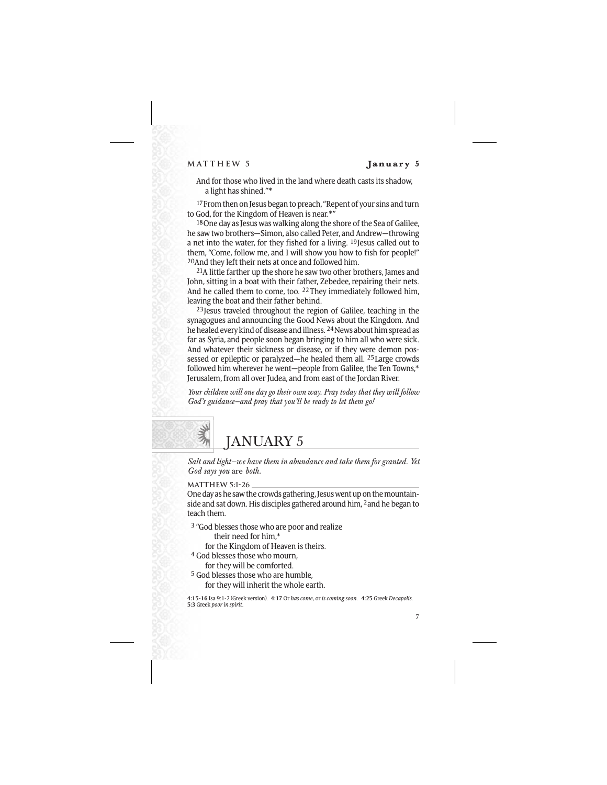And for those who lived in the land where death casts its shadow, a light has shined."\*

17 From then on Jesus began to preach, "Repent of your sins and turn to God, for the Kingdom of Heaven is near.\*"

18One day as Jesus was walking along the shore of the Sea of Galilee, he saw two brothers—Simon, also called Peter, and Andrew—throwing a net into the water, for they fished for a living. 19Jesus called out to them, "Come, follow me, and I will show you how to fish for people!" 20And they left their nets at once and followed him.

<sup>21</sup>A little farther up the shore he saw two other brothers, James and John, sitting in a boat with their father, Zebedee, repairing their nets. And he called them to come, too. 22They immediately followed him, leaving the boat and their father behind.

23Jesus traveled throughout the region of Galilee, teaching in the synagogues and announcing the Good News about the Kingdom. And he healed every kind of disease and illness. 24News about him spread as far as Syria, and people soon began bringing to him all who were sick. And whatever their sickness or disease, or if they were demon possessed or epileptic or paralyzed—he healed them all. 25Large crowds followed him wherever he went—people from Galilee, the Ten Towns,\* Jerusalem, from all over Judea, and from east of the Jordan River.

*Your children will one day go their own way. Pray today that they will follow God's guidance—and pray that you'll be ready to let them go!*



*Salt and light—we have them in abundance and take them for granted. Yet God says you* are *both.*

**MATTHEW 5:1-26**

One day as he saw the crowds gathering, Jesus went up on the mountainside and sat down. His disciples gathered around him, 2and he began to teach them.

<sup>3</sup> "God blesses those who are poor and realize their need for him,\*

for the Kingdom of Heaven is theirs.

- 4 God blesses those who mourn,
	- for they will be comforted.
- 5 God blesses those who are humble, for they will inherit the whole earth.

**4:15-16** Isa 9:1-2 (Greek version). **4:17** Or *has come,* or *is coming soon.* **4:25** Greek *Decapolis.* **5:3** Greek *poor in spirit.*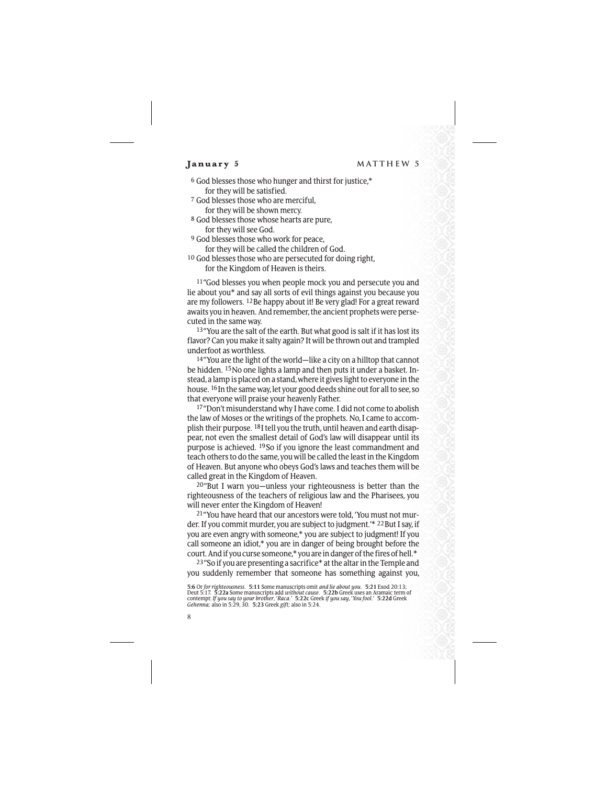6 God blesses those who hunger and thirst for justice,\* for they will be satisfied.

- 7 God blesses those who are merciful, for they will be shown mercy.
- 8 God blesses those whose hearts are pure, for they will see God.
- 9 God blesses those who work for peace, for they will be called the children of God.
- 10 God blesses those who are persecuted for doing right, for the Kingdom of Heaven is theirs.

11"God blesses you when people mock you and persecute you and lie about you\* and say all sorts of evil things against you because you are my followers. 12Be happy about it! Be very glad! For a great reward awaits you in heaven. And remember, the ancient prophets were persecuted in the same way.

13"You are the salt of the earth. But what good is salt if it has lost its flavor? Can you make it salty again? It will be thrown out and trampled underfoot as worthless.

14"You are the light of the world—like a city on a hilltop that cannot be hidden. 15No one lights a lamp and then puts it under a basket. Instead, a lamp is placed on a stand, where it gives light to everyone in the house. 16In the same way, let your good deeds shine out for all to see, so that everyone will praise your heavenly Father.

17"Don't misunderstand why I have come. I did not come to abolish the law of Moses or the writings of the prophets. No, I came to accomplish their purpose. 18I tell you the truth, until heaven and earth disappear, not even the smallest detail of God's law will disappear until its purpose is achieved. 19So if you ignore the least commandment and teach others to do the same, you will be called the least in the Kingdom of Heaven. But anyone who obeys God's laws and teaches them will be called great in the Kingdom of Heaven.

20"But I warn you—unless your righteousness is better than the righteousness of the teachers of religious law and the Pharisees, you will never enter the Kingdom of Heaven!

21"You have heard that our ancestors were told, 'You must not murder. If you commit murder, you are subject to judgment.'\* 22 But I say, if you are even angry with someone,\* you are subject to judgment! If you call someone an idiot,\* you are in danger of being brought before the court. And if you curse someone,\* you are in danger of the fires of hell.\*

23"So if you are presenting a sacrifice\* at the altar in the Temple and you suddenly remember that someone has something against you,

<sup>5:6</sup> Or for righteousness. 5:11 Some manuscripts omit and lie about you. 5:21 Exod 20:13;<br>Deut 5:17. 5:22a Some manuscripts add without cause. 5:22b Greek uses an Aramaic term of<br>contempt: If you say to your brother, Raca.'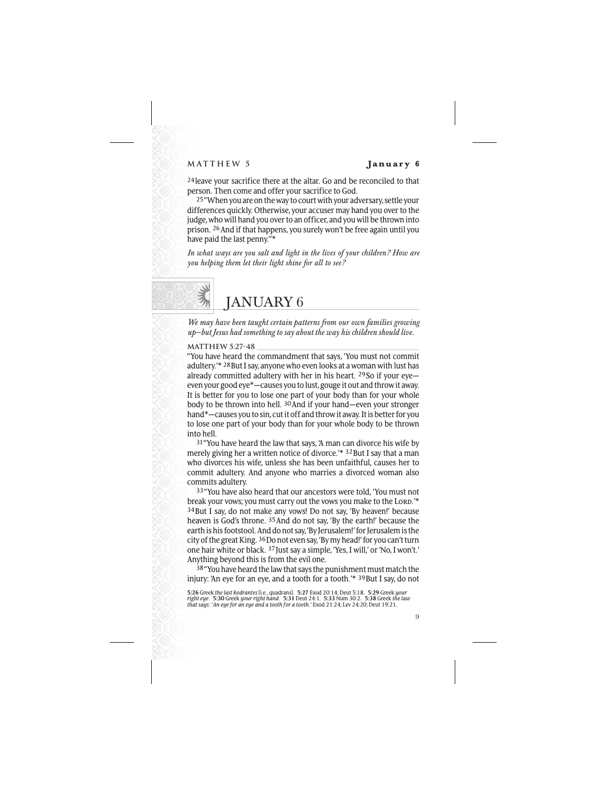24leave your sacrifice there at the altar. Go and be reconciled to that person. Then come and offer your sacrifice to God.

25"When you are on the way to court with your adversary, settle your differences quickly. Otherwise, your accuser may hand you over to the judge, who will hand you over to an officer, and you will be thrown into prison.  $26$  And if that happens, you surely won't be free again until you have paid the last penny."\*

*In what ways are you salt and light in the lives of your children? How are you helping them let their light shine for all to see?*

## JANUARY 6

*We may have been taught certain patterns from our own families growing up—but Jesus had something to say about the way his children should live.*

## **MATTHEW 5:27-48**

"You have heard the commandment that says, 'You must not commit adultery.<sup>'\* 28</sup>But I say, anyone who even looks at a woman with lust has already committed adultery with her in his heart. 29So if your eye even your good eye\*—causes you to lust, gouge it out and throw it away. It is better for you to lose one part of your body than for your whole body to be thrown into hell.  $30$  And if your hand—even your stronger hand\*—causes you to sin, cut it off and throw it away. It is better for you to lose one part of your body than for your whole body to be thrown into hell.

31"You have heard the law that says, 'A man can divorce his wife by merely giving her a written notice of divorce.'\* 32But I say that a man who divorces his wife, unless she has been unfaithful, causes her to commit adultery. And anyone who marries a divorced woman also commits adultery.

33"You have also heard that our ancestors were told, 'You must not break your vows; you must carry out the vows you make to the Lord.'\* 34But I say, do not make any vows! Do not say, 'By heaven!' because heaven is God's throne. 35And do not say, 'By the earth!' because the earth is his footstool. And do not say, 'By Jerusalem!' for Jerusalem is the city of the great King. 36Do not even say, 'By my head!' for you can't turn one hair white or black. 37Just say a simple, 'Yes, I will,' or 'No, I won't.' Anything beyond this is from the evil one.

38 "You have heard the law that says the punishment must match the injury: 'An eye for an eye, and a tooth for a tooth.'\* 39But I say, do not

5:26 Greek *the last kodrantes* [i.e., quadrans]. 5:27 Exod 20:14; Deut 5:18. 5:29 Greek *your*<br>right eye. 5:30 Greek your right hand. 5:31 Deut 24:1. 5:33 Num 30:2. 5:38 Greek the law<br>that says: 'An eye for an eye a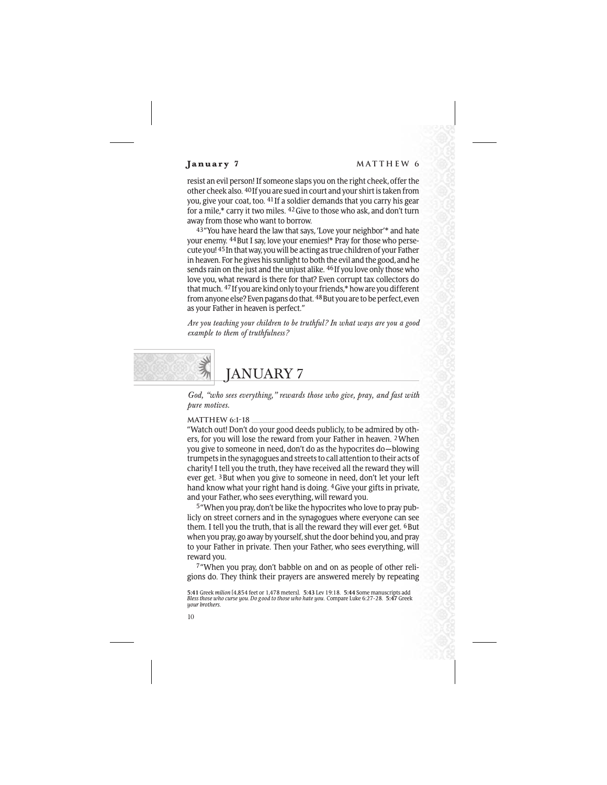resist an evil person! If someone slaps you on the right cheek, offer the other cheek also. 40If you are sued in court and your shirt is taken from you, give your coat, too. 41If a soldier demands that you carry his gear for a mile,\* carry it two miles. 42Give to those who ask, and don't turn away from those who want to borrow.

43"You have heard the law that says, 'Love your neighbor'\* and hate your enemy. 44But I say, love your enemies!\* Pray for those who persecute you! 45In that way, you will be acting as true children of your Father in heaven. For he gives his sunlight to both the evil and the good, and he sends rain on the just and the unjust alike. 46If you love only those who love you, what reward is there for that? Even corrupt tax collectors do that much. 47If you are kind only to your friends,\* how are you different from anyone else? Even pagans do that. <sup>48</sup> But you are to be perfect, even as your Father in heaven is perfect."

*Are you teaching your children to be truthful? In what ways are you a good example to them of truthfulness?*

# JANUARY 7

*God, "who sees everything," rewards those who give, pray, and fast with pure motives.*

## **MATTHEW 6:1-18**

"Watch out! Don't do your good deeds publicly, to be admired by others, for you will lose the reward from your Father in heaven. 2When you give to someone in need, don't do as the hypocrites do—blowing trumpets in the synagogues and streets to call attention to their acts of charity! I tell you the truth, they have received all the reward they will ever get. 3But when you give to someone in need, don't let your left hand know what your right hand is doing. 4Give your gifts in private, and your Father, who sees everything, will reward you.

5"When you pray, don't be like the hypocrites who love to pray publicly on street corners and in the synagogues where everyone can see them. I tell you the truth, that is all the reward they will ever get. <sup>6</sup>But when you pray, go away by yourself, shut the door behind you, and pray to your Father in private. Then your Father, who sees everything, will reward you.

7"When you pray, don't babble on and on as people of other religions do. They think their prayers are answered merely by repeating

**<sup>5:41</sup>** Greek *milion* [4,854 feet or 1,478 meters]. **5:43** Lev 19:18. **5:44** Some manuscripts add *Bless those who curse you. Do good to those who hate you.* Compare Luke 6:27-28. **5:47** Greek *your brothers.*